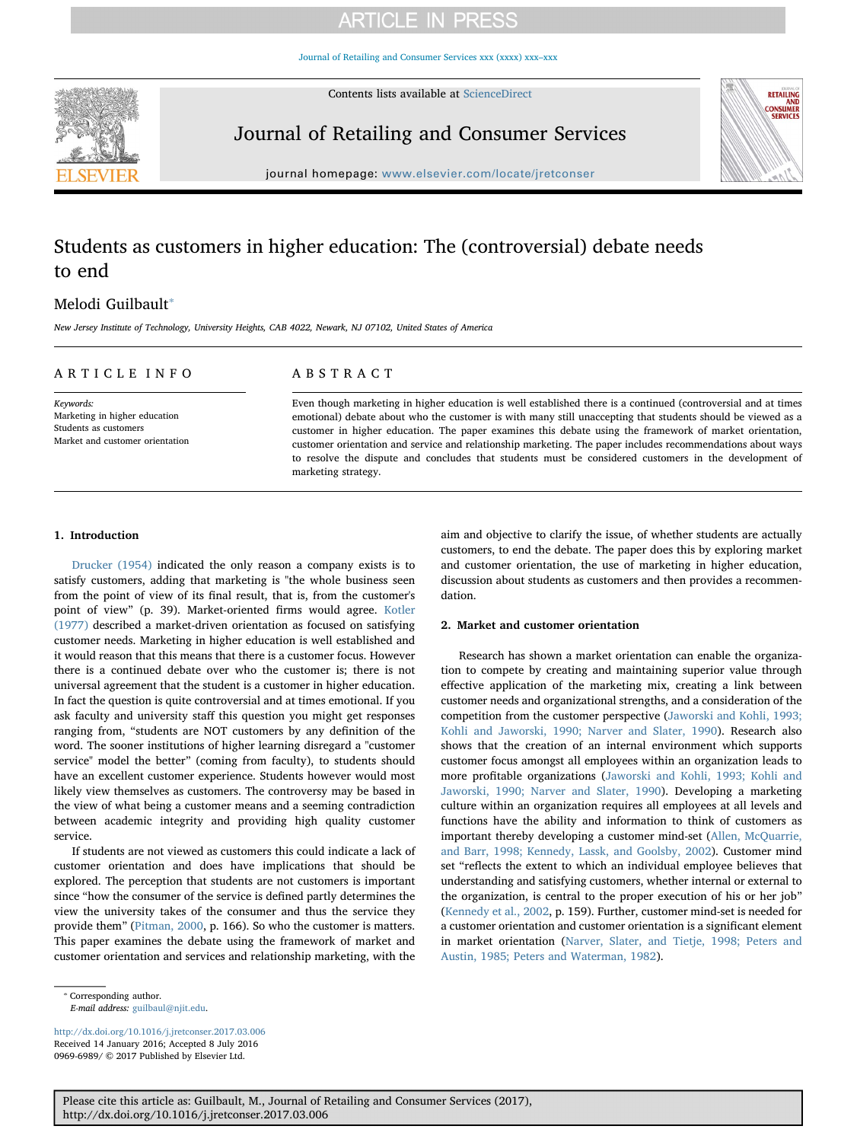# **ARTICLE IN PRESS**

[Journal of Retailing and Consumer Services xxx \(xxxx\) xxx–xxx](http://dx.doi.org/10.1016/j.jretconser.2017.03.006)

Contents lists available at [ScienceDirect](http://www.sciencedirect.com/science/journal/09696989)



Journal of Retailing and Consumer Services



journal homepage: [www.elsevier.com/locate/jretconser](http://www.elsevier.com/locate/jretconser)

# Students as customers in higher education: The (controversial) debate needs to end

# Melodi Guilbault<sup>\*</sup>

New Jersey Institute of Technology, University Heights, CAB 4022, Newark, NJ 07102, United States of America

## ARTICLE INFO

Keywords: Marketing in higher education Students as customers Market and customer orientation

## ABSTRACT

Even though marketing in higher education is well established there is a continued (controversial and at times emotional) debate about who the customer is with many still unaccepting that students should be viewed as a customer in higher education. The paper examines this debate using the framework of market orientation, customer orientation and service and relationship marketing. The paper includes recommendations about ways to resolve the dispute and concludes that students must be considered customers in the development of marketing strategy.

### 1. Introduction

[Drucker \(1954\)](#page-3-0) indicated the only reason a company exists is to satisfy customers, adding that marketing is "the whole business seen from the point of view of its final result, that is, from the customer's point of view" (p. 39). Market-oriented firms would agree. [Kotler](#page-3-1) [\(1977\)](#page-3-1) described a market-driven orientation as focused on satisfying customer needs. Marketing in higher education is well established and it would reason that this means that there is a customer focus. However there is a continued debate over who the customer is; there is not universal agreement that the student is a customer in higher education. In fact the question is quite controversial and at times emotional. If you ask faculty and university staff this question you might get responses ranging from, "students are NOT customers by any definition of the word. The sooner institutions of higher learning disregard a "customer service" model the better" (coming from faculty), to students should have an excellent customer experience. Students however would most likely view themselves as customers. The controversy may be based in the view of what being a customer means and a seeming contradiction between academic integrity and providing high quality customer service.

If students are not viewed as customers this could indicate a lack of customer orientation and does have implications that should be explored. The perception that students are not customers is important since "how the consumer of the service is defined partly determines the view the university takes of the consumer and thus the service they provide them" ([Pitman, 2000](#page-3-2), p. 166). So who the customer is matters. This paper examines the debate using the framework of market and customer orientation and services and relationship marketing, with the

aim and objective to clarify the issue, of whether students are actually customers, to end the debate. The paper does this by exploring market and customer orientation, the use of marketing in higher education, discussion about students as customers and then provides a recommendation.

## 2. Market and customer orientation

Research has shown a market orientation can enable the organization to compete by creating and maintaining superior value through effective application of the marketing mix, creating a link between customer needs and organizational strengths, and a consideration of the competition from the customer perspective ([Jaworski and Kohli, 1993;](#page-3-3) [Kohli and Jaworski, 1990; Narver and Slater, 1990\)](#page-3-3). Research also shows that the creation of an internal environment which supports customer focus amongst all employees within an organization leads to more profitable organizations [\(Jaworski and Kohli, 1993; Kohli and](#page-3-3) [Jaworski, 1990; Narver and Slater, 1990\)](#page-3-3). Developing a marketing culture within an organization requires all employees at all levels and functions have the ability and information to think of customers as important thereby developing a customer mind-set [\(Allen, McQuarrie,](#page-2-0) [and Barr, 1998; Kennedy, Lassk, and Goolsby, 2002](#page-2-0)). Customer mind set "reflects the extent to which an individual employee believes that understanding and satisfying customers, whether internal or external to the organization, is central to the proper execution of his or her job" ([Kennedy et al., 2002,](#page-3-4) p. 159). Further, customer mind-set is needed for a customer orientation and customer orientation is a significant element in market orientation [\(Narver, Slater, and Tietje, 1998; Peters and](#page-3-5) [Austin, 1985; Peters and Waterman, 1982](#page-3-5)).

<http://dx.doi.org/10.1016/j.jretconser.2017.03.006> Received 14 January 2016; Accepted 8 July 2016 0969-6989/ © 2017 Published by Elsevier Ltd.

<span id="page-0-0"></span><sup>⁎</sup> Corresponding author.

E-mail address: [guilbaul@njit.edu.](mailto:guilbaul@njit.edu)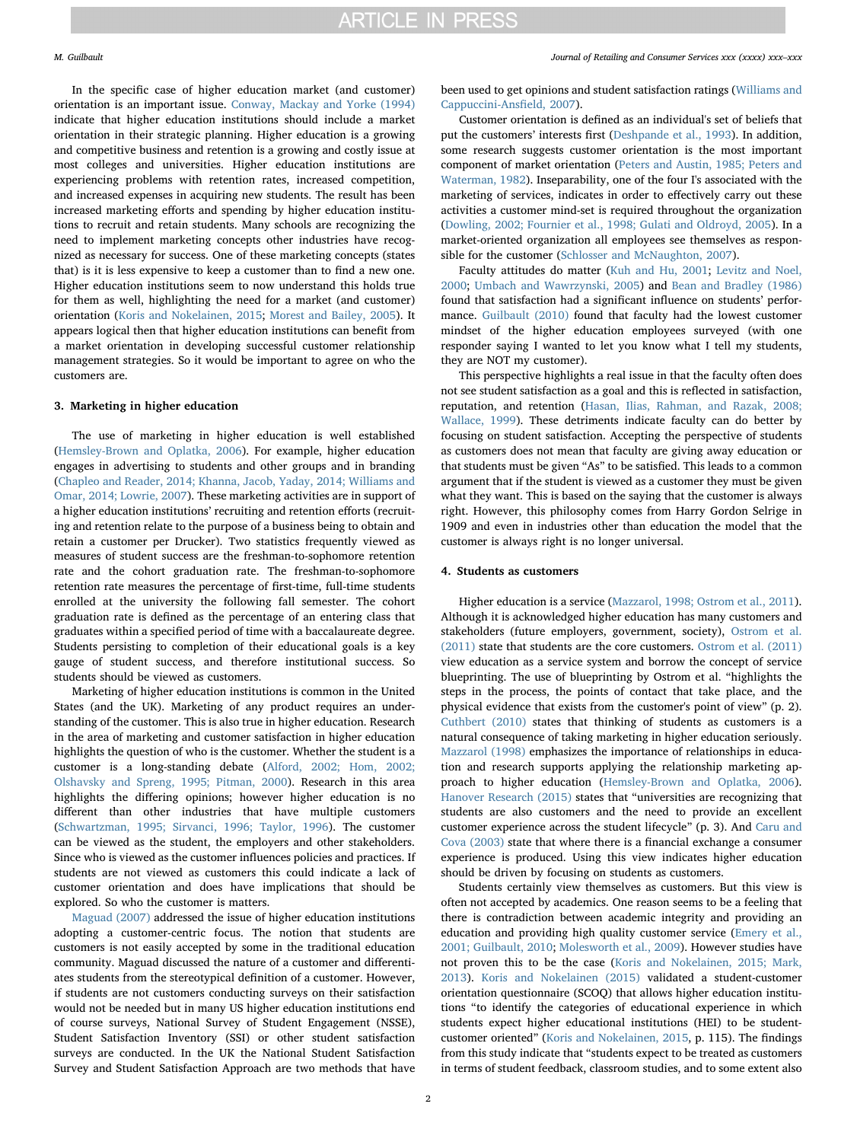In the specific case of higher education market (and customer) orientation is an important issue. [Conway, Mackay and Yorke \(1994\)](#page-3-6) indicate that higher education institutions should include a market orientation in their strategic planning. Higher education is a growing and competitive business and retention is a growing and costly issue at most colleges and universities. Higher education institutions are experiencing problems with retention rates, increased competition, and increased expenses in acquiring new students. The result has been increased marketing efforts and spending by higher education institutions to recruit and retain students. Many schools are recognizing the need to implement marketing concepts other industries have recognized as necessary for success. One of these marketing concepts (states that) is it is less expensive to keep a customer than to find a new one. Higher education institutions seem to now understand this holds true for them as well, highlighting the need for a market (and customer) orientation [\(Koris and Nokelainen, 2015](#page-3-7); [Morest and Bailey, 2005](#page-3-8)). It appears logical then that higher education institutions can benefit from a market orientation in developing successful customer relationship management strategies. So it would be important to agree on who the customers are.

### 3. Marketing in higher education

The use of marketing in higher education is well established ([Hemsley-Brown and Oplatka, 2006](#page-3-9)). For example, higher education engages in advertising to students and other groups and in branding ([Chapleo and Reader, 2014; Khanna, Jacob, Yaday, 2014; Williams and](#page-3-10) [Omar, 2014; Lowrie, 2007](#page-3-10)). These marketing activities are in support of a higher education institutions' recruiting and retention efforts (recruiting and retention relate to the purpose of a business being to obtain and retain a customer per Drucker). Two statistics frequently viewed as measures of student success are the freshman-to-sophomore retention rate and the cohort graduation rate. The freshman-to-sophomore retention rate measures the percentage of first-time, full-time students enrolled at the university the following fall semester. The cohort graduation rate is defined as the percentage of an entering class that graduates within a specified period of time with a baccalaureate degree. Students persisting to completion of their educational goals is a key gauge of student success, and therefore institutional success. So students should be viewed as customers.

Marketing of higher education institutions is common in the United States (and the UK). Marketing of any product requires an understanding of the customer. This is also true in higher education. Research in the area of marketing and customer satisfaction in higher education highlights the question of who is the customer. Whether the student is a customer is a long-standing debate ([Alford, 2002; Hom, 2002;](#page-2-1) [Olshavsky and Spreng, 1995; Pitman, 2000\)](#page-2-1). Research in this area highlights the differing opinions; however higher education is no different than other industries that have multiple customers ([Schwartzman, 1995; Sirvanci, 1996; Taylor, 1996](#page-3-11)). The customer can be viewed as the student, the employers and other stakeholders. Since who is viewed as the customer influences policies and practices. If students are not viewed as customers this could indicate a lack of customer orientation and does have implications that should be explored. So who the customer is matters.

[Maguad \(2007\)](#page-3-12) addressed the issue of higher education institutions adopting a customer-centric focus. The notion that students are customers is not easily accepted by some in the traditional education community. Maguad discussed the nature of a customer and differentiates students from the stereotypical definition of a customer. However, if students are not customers conducting surveys on their satisfaction would not be needed but in many US higher education institutions end of course surveys, National Survey of Student Engagement (NSSE), Student Satisfaction Inventory (SSI) or other student satisfaction surveys are conducted. In the UK the National Student Satisfaction Survey and Student Satisfaction Approach are two methods that have been used to get opinions and student satisfaction ratings ([Williams and](#page-3-13) [Cappuccini-Ans](#page-3-13)field, 2007).

Customer orientation is defined as an individual's set of beliefs that put the customers' interests first ([Deshpande et al., 1993](#page-3-14)). In addition, some research suggests customer orientation is the most important component of market orientation [\(Peters and Austin, 1985; Peters and](#page-3-15) [Waterman, 1982\)](#page-3-15). Inseparability, one of the four I's associated with the marketing of services, indicates in order to effectively carry out these activities a customer mind-set is required throughout the organization ([Dowling, 2002; Fournier et al., 1998; Gulati and Oldroyd, 2005](#page-3-16)). In a market-oriented organization all employees see themselves as responsible for the customer [\(Schlosser and McNaughton, 2007](#page-3-17)).

Faculty attitudes do matter [\(Kuh and Hu, 2001](#page-3-18); [Levitz and Noel,](#page-3-19) [2000;](#page-3-19) [Umbach and Wawrzynski, 2005\)](#page-3-20) and [Bean and Bradley \(1986\)](#page-2-2) found that satisfaction had a significant influence on students' performance. [Guilbault \(2010\)](#page-3-21) found that faculty had the lowest customer mindset of the higher education employees surveyed (with one responder saying I wanted to let you know what I tell my students, they are NOT my customer).

This perspective highlights a real issue in that the faculty often does not see student satisfaction as a goal and this is reflected in satisfaction, reputation, and retention ([Hasan, Ilias, Rahman, and Razak, 2008;](#page-3-22) [Wallace, 1999\)](#page-3-22). These detriments indicate faculty can do better by focusing on student satisfaction. Accepting the perspective of students as customers does not mean that faculty are giving away education or that students must be given "As" to be satisfied. This leads to a common argument that if the student is viewed as a customer they must be given what they want. This is based on the saying that the customer is always right. However, this philosophy comes from Harry Gordon Selrige in 1909 and even in industries other than education the model that the customer is always right is no longer universal.

#### 4. Students as customers

Higher education is a service ([Mazzarol, 1998; Ostrom et al., 2011](#page-3-23)). Although it is acknowledged higher education has many customers and stakeholders (future employers, government, society), [Ostrom et al.](#page-3-24) [\(2011\)](#page-3-24) state that students are the core customers. [Ostrom et al. \(2011\)](#page-3-24) view education as a service system and borrow the concept of service blueprinting. The use of blueprinting by Ostrom et al. "highlights the steps in the process, the points of contact that take place, and the physical evidence that exists from the customer's point of view" (p. 2). [Cuthbert \(2010\)](#page-3-25) states that thinking of students as customers is a natural consequence of taking marketing in higher education seriously. [Mazzarol \(1998\)](#page-3-23) emphasizes the importance of relationships in education and research supports applying the relationship marketing approach to higher education ([Hemsley-Brown and Oplatka, 2006](#page-3-9)). [Hanover Research \(2015\)](#page-3-26) states that "universities are recognizing that students are also customers and the need to provide an excellent customer experience across the student lifecycle" (p. 3). And [Caru and](#page-3-27) [Cova \(2003\)](#page-3-27) state that where there is a financial exchange a consumer experience is produced. Using this view indicates higher education should be driven by focusing on students as customers.

Students certainly view themselves as customers. But this view is often not accepted by academics. One reason seems to be a feeling that there is contradiction between academic integrity and providing an education and providing high quality customer service [\(Emery et al.,](#page-3-28) [2001; Guilbault, 2010](#page-3-28); [Molesworth et al., 2009\)](#page-3-29). However studies have not proven this to be the case ([Koris and Nokelainen, 2015; Mark,](#page-3-7) [2013\)](#page-3-7). [Koris and Nokelainen \(2015\)](#page-3-7) validated a student-customer orientation questionnaire (SCOQ) that allows higher education institutions "to identify the categories of educational experience in which students expect higher educational institutions (HEI) to be studentcustomer oriented" ([Koris and Nokelainen, 2015,](#page-3-7) p. 115). The findings from this study indicate that "students expect to be treated as customers in terms of student feedback, classroom studies, and to some extent also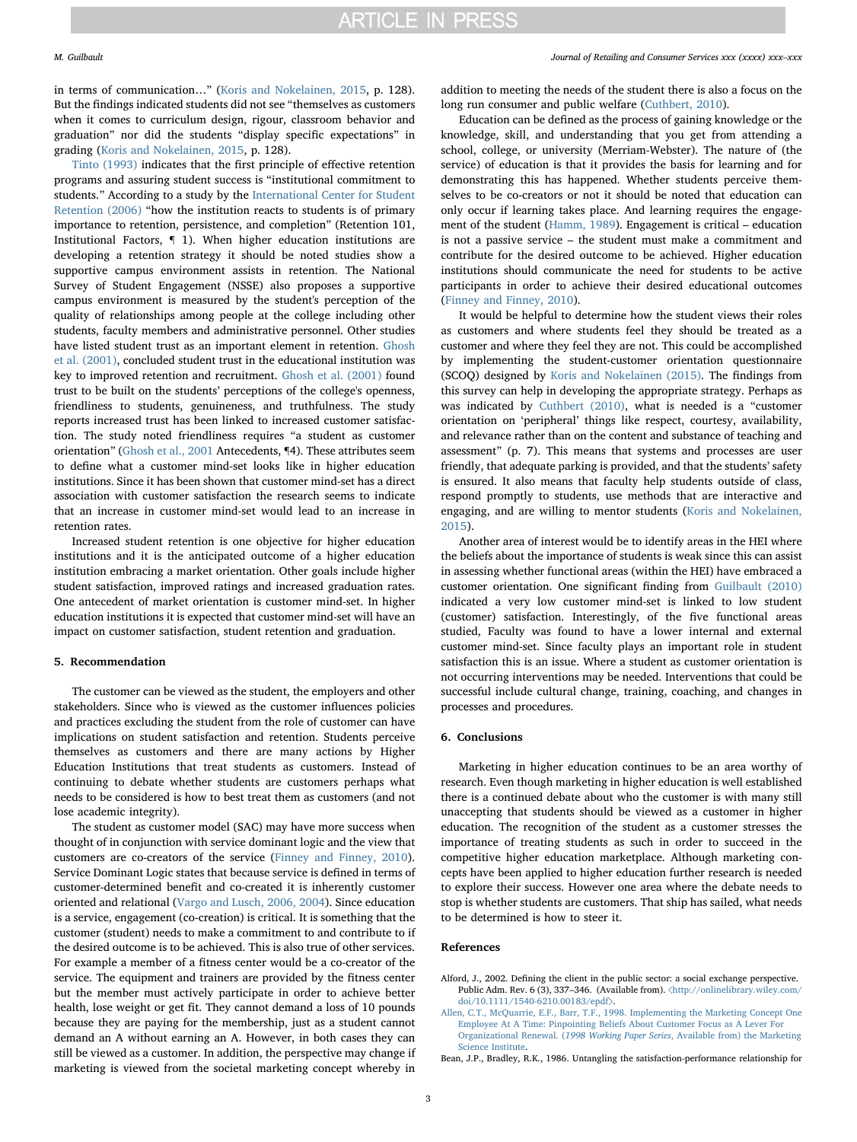in terms of communication…" [\(Koris and Nokelainen, 2015,](#page-3-7) p. 128). But the findings indicated students did not see "themselves as customers when it comes to curriculum design, rigour, classroom behavior and graduation" nor did the students "display specific expectations" in grading [\(Koris and Nokelainen, 2015,](#page-3-7) p. 128).

[Tinto \(1993\)](#page-3-30) indicates that the first principle of effective retention programs and assuring student success is "institutional commitment to students." According to a study by the [International Center for Student](#page-3-31) [Retention \(2006\)](#page-3-31) "how the institution reacts to students is of primary importance to retention, persistence, and completion" (Retention 101, Institutional Factors, ¶ 1). When higher education institutions are developing a retention strategy it should be noted studies show a supportive campus environment assists in retention. The National Survey of Student Engagement (NSSE) also proposes a supportive campus environment is measured by the student's perception of the quality of relationships among people at the college including other students, faculty members and administrative personnel. Other studies have listed student trust as an important element in retention. [Ghosh](#page-3-32) [et al. \(2001\)](#page-3-32), concluded student trust in the educational institution was key to improved retention and recruitment. [Ghosh et al. \(2001\)](#page-3-32) found trust to be built on the students' perceptions of the college's openness, friendliness to students, genuineness, and truthfulness. The study reports increased trust has been linked to increased customer satisfaction. The study noted friendliness requires "a student as customer orientation" [\(Ghosh et al., 2001](#page-3-32) Antecedents, ¶4). These attributes seem to define what a customer mind-set looks like in higher education institutions. Since it has been shown that customer mind-set has a direct association with customer satisfaction the research seems to indicate that an increase in customer mind-set would lead to an increase in retention rates.

Increased student retention is one objective for higher education institutions and it is the anticipated outcome of a higher education institution embracing a market orientation. Other goals include higher student satisfaction, improved ratings and increased graduation rates. One antecedent of market orientation is customer mind-set. In higher education institutions it is expected that customer mind-set will have an impact on customer satisfaction, student retention and graduation.

### 5. Recommendation

The customer can be viewed as the student, the employers and other stakeholders. Since who is viewed as the customer influences policies and practices excluding the student from the role of customer can have implications on student satisfaction and retention. Students perceive themselves as customers and there are many actions by Higher Education Institutions that treat students as customers. Instead of continuing to debate whether students are customers perhaps what needs to be considered is how to best treat them as customers (and not lose academic integrity).

The student as customer model (SAC) may have more success when thought of in conjunction with service dominant logic and the view that customers are co-creators of the service [\(Finney and Finney, 2010](#page-3-33)). Service Dominant Logic states that because service is defined in terms of customer-determined benefit and co-created it is inherently customer oriented and relational [\(Vargo and Lusch, 2006, 2004\)](#page-3-34). Since education is a service, engagement (co-creation) is critical. It is something that the customer (student) needs to make a commitment to and contribute to if the desired outcome is to be achieved. This is also true of other services. For example a member of a fitness center would be a co-creator of the service. The equipment and trainers are provided by the fitness center but the member must actively participate in order to achieve better health, lose weight or get fit. They cannot demand a loss of 10 pounds because they are paying for the membership, just as a student cannot demand an A without earning an A. However, in both cases they can still be viewed as a customer. In addition, the perspective may change if marketing is viewed from the societal marketing concept whereby in

#### M. Guilbault *Journal of Retailing and Consumer Services xxx (xxxx) xxx–xxx*

addition to meeting the needs of the student there is also a focus on the long run consumer and public welfare [\(Cuthbert, 2010](#page-3-25)).

Education can be defined as the process of gaining knowledge or the knowledge, skill, and understanding that you get from attending a school, college, or university (Merriam-Webster). The nature of (the service) of education is that it provides the basis for learning and for demonstrating this has happened. Whether students perceive themselves to be co-creators or not it should be noted that education can only occur if learning takes place. And learning requires the engagement of the student ([Hamm, 1989\)](#page-3-35). Engagement is critical – education is not a passive service – the student must make a commitment and contribute for the desired outcome to be achieved. Higher education institutions should communicate the need for students to be active participants in order to achieve their desired educational outcomes ([Finney and Finney, 2010\)](#page-3-33).

It would be helpful to determine how the student views their roles as customers and where students feel they should be treated as a customer and where they feel they are not. This could be accomplished by implementing the student-customer orientation questionnaire (SCOQ) designed by [Koris and Nokelainen \(2015\)](#page-3-7). The findings from this survey can help in developing the appropriate strategy. Perhaps as was indicated by [Cuthbert \(2010\)](#page-3-25), what is needed is a "customer orientation on 'peripheral' things like respect, courtesy, availability, and relevance rather than on the content and substance of teaching and assessment" (p. 7). This means that systems and processes are user friendly, that adequate parking is provided, and that the students' safety is ensured. It also means that faculty help students outside of class, respond promptly to students, use methods that are interactive and engaging, and are willing to mentor students ([Koris and Nokelainen,](#page-3-7) [2015\)](#page-3-7).

Another area of interest would be to identify areas in the HEI where the beliefs about the importance of students is weak since this can assist in assessing whether functional areas (within the HEI) have embraced a customer orientation. One significant finding from [Guilbault \(2010\)](#page-3-21) indicated a very low customer mind-set is linked to low student (customer) satisfaction. Interestingly, of the five functional areas studied, Faculty was found to have a lower internal and external customer mind-set. Since faculty plays an important role in student satisfaction this is an issue. Where a student as customer orientation is not occurring interventions may be needed. Interventions that could be successful include cultural change, training, coaching, and changes in processes and procedures.

#### 6. Conclusions

Marketing in higher education continues to be an area worthy of research. Even though marketing in higher education is well established there is a continued debate about who the customer is with many still unaccepting that students should be viewed as a customer in higher education. The recognition of the student as a customer stresses the importance of treating students as such in order to succeed in the competitive higher education marketplace. Although marketing concepts have been applied to higher education further research is needed to explore their success. However one area where the debate needs to stop is whether students are customers. That ship has sailed, what needs to be determined is how to steer it.

#### References

<span id="page-2-1"></span>Alford, J., 2002. Defining the client in the public sector: a social exchange perspective. Public Adm. Rev. 6 (3), 337–346. (Available from). 〈[http://onlinelibrary.wiley.com/](http://onlinelibrary.wiley.com/doi/10.1111/1540-6210.00183/epdf) [doi/10.1111/1540-6210.00183/epdf](http://onlinelibrary.wiley.com/doi/10.1111/1540-6210.00183/epdf)〉.

<span id="page-2-0"></span>[Allen, C.T., McQuarrie, E.F., Barr, T.F., 1998. Implementing the Marketing Concept One](http://refhub.elsevier.com/S0969-6989(17)30130-3/sbref2) [Employee At A Time: Pinpointing Beliefs About Customer Focus as A Lever For](http://refhub.elsevier.com/S0969-6989(17)30130-3/sbref2) Organizational Renewal. (1998 Working Paper Series[, Available from\) the Marketing](http://refhub.elsevier.com/S0969-6989(17)30130-3/sbref2) [Science Institute](http://refhub.elsevier.com/S0969-6989(17)30130-3/sbref2).

<span id="page-2-2"></span>Bean, J.P., Bradley, R.K., 1986. Untangling the satisfaction-performance relationship for